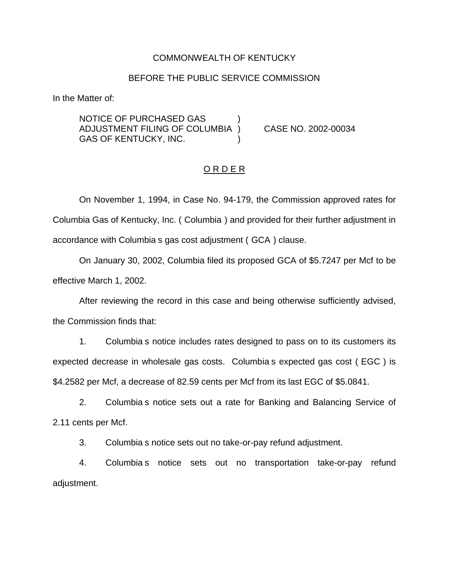#### COMMONWEALTH OF KENTUCKY

### BEFORE THE PUBLIC SERVICE COMMISSION

In the Matter of:

NOTICE OF PURCHASED GAS ) ADJUSTMENT FILING OF COLUMBIA ) CASE NO. 2002-00034 GAS OF KENTUCKY, INC.

### ORDER

On November 1, 1994, in Case No. 94-179, the Commission approved rates for Columbia Gas of Kentucky, Inc. ( Columbia ) and provided for their further adjustment in accordance with Columbia s gas cost adjustment ( GCA ) clause.

On January 30, 2002, Columbia filed its proposed GCA of \$5.7247 per Mcf to be effective March 1, 2002.

After reviewing the record in this case and being otherwise sufficiently advised, the Commission finds that:

1. Columbia s notice includes rates designed to pass on to its customers its expected decrease in wholesale gas costs. Columbia s expected gas cost ( EGC ) is \$4.2582 per Mcf, a decrease of 82.59 cents per Mcf from its last EGC of \$5.0841.

2. Columbia s notice sets out a rate for Banking and Balancing Service of 2.11 cents per Mcf.

3. Columbia s notice sets out no take-or-pay refund adjustment.

4. Columbia s notice sets out no transportation take-or-pay refund adjustment.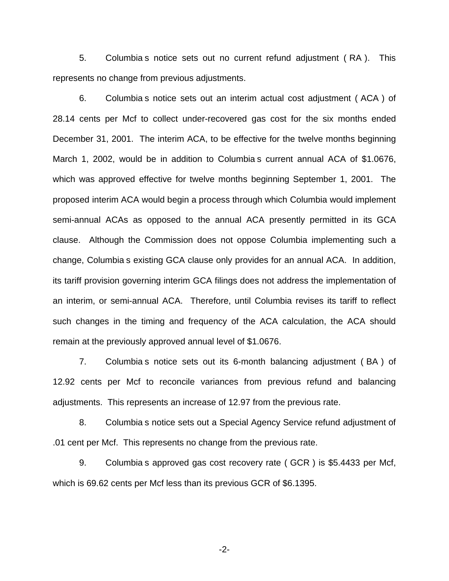5. Columbia s notice sets out no current refund adjustment ( RA ). This represents no change from previous adjustments.

6. Columbia s notice sets out an interim actual cost adjustment ( ACA ) of 28.14 cents per Mcf to collect under-recovered gas cost for the six months ended December 31, 2001. The interim ACA, to be effective for the twelve months beginning March 1, 2002, would be in addition to Columbia s current annual ACA of \$1.0676, which was approved effective for twelve months beginning September 1, 2001. The proposed interim ACA would begin a process through which Columbia would implement semi-annual ACAs as opposed to the annual ACA presently permitted in its GCA clause. Although the Commission does not oppose Columbia implementing such a change, Columbia s existing GCA clause only provides for an annual ACA. In addition, its tariff provision governing interim GCA filings does not address the implementation of an interim, or semi-annual ACA. Therefore, until Columbia revises its tariff to reflect such changes in the timing and frequency of the ACA calculation, the ACA should remain at the previously approved annual level of \$1.0676.

7. Columbia s notice sets out its 6-month balancing adjustment ( BA ) of 12.92 cents per Mcf to reconcile variances from previous refund and balancing adjustments. This represents an increase of 12.97 from the previous rate.

8. Columbia s notice sets out a Special Agency Service refund adjustment of .01 cent per Mcf. This represents no change from the previous rate.

9. Columbia s approved gas cost recovery rate ( GCR ) is \$5.4433 per Mcf, which is 69.62 cents per Mcf less than its previous GCR of \$6.1395.

-2-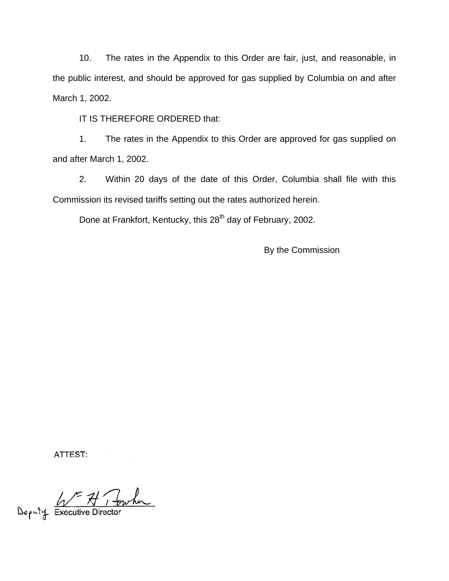10. The rates in the Appendix to this Order are fair, just, and reasonable, in the public interest, and should be approved for gas supplied by Columbia on and after March 1, 2002.

IT IS THEREFORE ORDERED that:

1. The rates in the Appendix to this Order are approved for gas supplied on and after March 1, 2002.

2. Within 20 days of the date of this Order, Columbia shall file with this Commission its revised tariffs setting out the rates authorized herein.

Done at Frankfort, Kentucky, this 28<sup>th</sup> day of February, 2002.

By the Commission

ATTEST:

Deputy Executive Director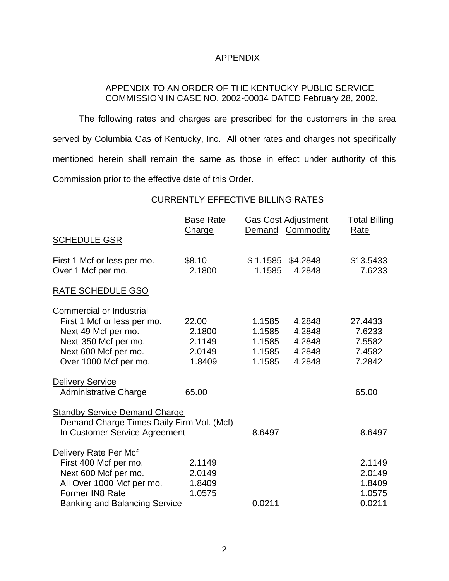## APPENDIX

## APPENDIX TO AN ORDER OF THE KENTUCKY PUBLIC SERVICE COMMISSION IN CASE NO. 2002-00034 DATED February 28, 2002.

The following rates and charges are prescribed for the customers in the area served by Columbia Gas of Kentucky, Inc. All other rates and charges not specifically mentioned herein shall remain the same as those in effect under authority of this Commission prior to the effective date of this Order.

## CURRENTLY EFFECTIVE BILLING RATES

|                                           | <b>Base Rate</b><br>Charge | <b>Gas Cost Adjustment</b><br>Demand Commodity |                    | <b>Total Billing</b><br><b>Rate</b> |
|-------------------------------------------|----------------------------|------------------------------------------------|--------------------|-------------------------------------|
| <b>SCHEDULE GSR</b>                       |                            |                                                |                    |                                     |
| First 1 Mcf or less per mo.               | \$8.10<br>2.1800           | \$1.1585<br>1.1585                             | \$4.2848<br>4.2848 | \$13.5433<br>7.6233                 |
| Over 1 Mcf per mo.                        |                            |                                                |                    |                                     |
| RATE SCHEDULE GSO                         |                            |                                                |                    |                                     |
| <b>Commercial or Industrial</b>           |                            |                                                |                    |                                     |
| First 1 Mcf or less per mo.               | 22.00                      | 1.1585                                         | 4.2848             | 27.4433                             |
| Next 49 Mcf per mo.                       | 2.1800                     | 1.1585                                         | 4.2848             | 7.6233                              |
| Next 350 Mcf per mo.                      | 2.1149                     | 1.1585                                         | 4.2848             | 7.5582                              |
| Next 600 Mcf per mo.                      | 2.0149                     | 1.1585                                         | 4.2848             | 7.4582                              |
| Over 1000 Mcf per mo.                     | 1.8409                     | 1.1585                                         | 4.2848             | 7.2842                              |
| <b>Delivery Service</b>                   |                            |                                                |                    |                                     |
| <b>Administrative Charge</b>              | 65.00                      |                                                |                    | 65.00                               |
| <b>Standby Service Demand Charge</b>      |                            |                                                |                    |                                     |
| Demand Charge Times Daily Firm Vol. (Mcf) |                            |                                                |                    |                                     |
| In Customer Service Agreement             |                            | 8.6497                                         |                    | 8.6497                              |
| Delivery Rate Per Mcf                     |                            |                                                |                    |                                     |
| First 400 Mcf per mo.                     | 2.1149                     |                                                |                    | 2.1149                              |
| Next 600 Mcf per mo.                      | 2.0149                     |                                                |                    | 2.0149                              |
| All Over 1000 Mcf per mo.                 | 1.8409                     |                                                |                    | 1.8409                              |
| Former IN8 Rate                           | 1.0575                     |                                                |                    | 1.0575                              |
| <b>Banking and Balancing Service</b>      |                            | 0.0211                                         |                    | 0.0211                              |